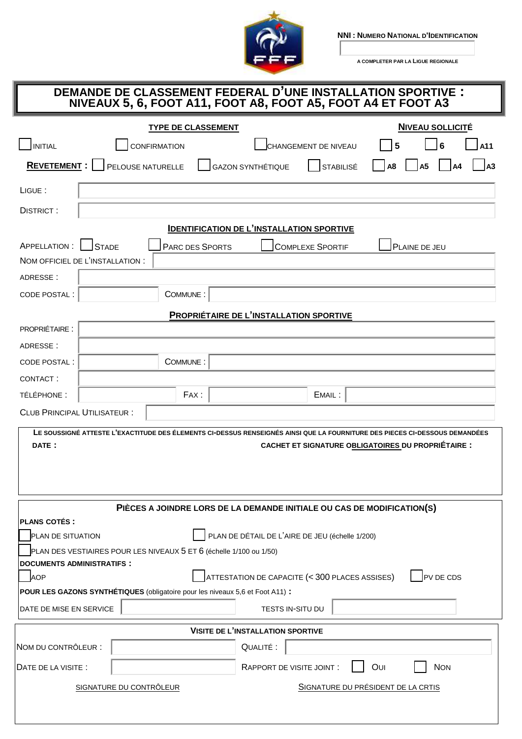

**NNI : NUMERO NATIONAL D'IDENTIFICATION**

**A COMPLETER PAR LA LIGUE REGIONALE**

## **DEMANDE DE CLASSEMENT FEDERAL D'UNE INSTALLATION SPORTIVE : NIVEAUX 5, 6, FOOT A11, FOOT A8, FOOT A5, FOOT A4 ET FOOT A3**

|                                                                                                                                                                                                   |                                                               | <b>TYPE DE CLASSEMENT</b> |                          |                           |                         |     | <b>NIVEAU SOLLICITÉ</b>    |
|---------------------------------------------------------------------------------------------------------------------------------------------------------------------------------------------------|---------------------------------------------------------------|---------------------------|--------------------------|---------------------------|-------------------------|-----|----------------------------|
| <b>INITIAL</b>                                                                                                                                                                                    |                                                               | <b>CONFIRMATION</b>       |                          |                           | CHANGEMENT DE NIVEAU    | 5   | 6<br>A11                   |
| REVETEMENT:                                                                                                                                                                                       |                                                               | PELOUSE NATURELLE         | <b>GAZON SYNTHÉTIQUE</b> |                           | <b>STABILISÉ</b>        | A8  | A3<br>A <sub>5</sub><br>A4 |
| LIGUE:                                                                                                                                                                                            |                                                               |                           |                          |                           |                         |     |                            |
| <b>DISTRICT:</b>                                                                                                                                                                                  |                                                               |                           |                          |                           |                         |     |                            |
| <b>IDENTIFICATION DE L'INSTALLATION SPORTIVE</b>                                                                                                                                                  |                                                               |                           |                          |                           |                         |     |                            |
| <b>APPELLATION:</b>                                                                                                                                                                               | <b>STADE</b>                                                  | PARC DES SPORTS           |                          |                           | <b>COMPLEXE SPORTIF</b> |     | PLAINE DE JEU              |
| NOM OFFICIEL DE L'INSTALLATION :                                                                                                                                                                  |                                                               |                           |                          |                           |                         |     |                            |
| ADRESSE:                                                                                                                                                                                          |                                                               |                           |                          |                           |                         |     |                            |
| CODE POSTAL :                                                                                                                                                                                     |                                                               | COMMUNE:                  |                          |                           |                         |     |                            |
| <b>PROPRIÉTAIRE DE L'INSTALLATION SPORTIVE</b>                                                                                                                                                    |                                                               |                           |                          |                           |                         |     |                            |
| <b>PROPRIÉTAIRE:</b>                                                                                                                                                                              |                                                               |                           |                          |                           |                         |     |                            |
| ADRESSE:                                                                                                                                                                                          |                                                               |                           |                          |                           |                         |     |                            |
| <b>CODE POSTAL:</b>                                                                                                                                                                               |                                                               | COMMUNE:                  |                          |                           |                         |     |                            |
| CONTACT:                                                                                                                                                                                          |                                                               |                           |                          |                           |                         |     |                            |
| TÉLÉPHONE :                                                                                                                                                                                       |                                                               | FAX:                      |                          |                           | EMAIL:                  |     |                            |
| <b>CLUB PRINCIPAL UTILISATEUR:</b>                                                                                                                                                                |                                                               |                           |                          |                           |                         |     |                            |
| LE SOUSSIGNÉ ATTESTE L'EXACTITUDE DES ÉLEMENTS CI-DESSUS RENSEIGNÉS AINSI QUE LA FOURNITURE DES PIECES CI-DESSOUS DEMANDÉES<br>DATE:<br><b>CACHET ET SIGNATURE OBLIGATOIRES DU PROPRIÉTAIRE :</b> |                                                               |                           |                          |                           |                         |     |                            |
| PIÈCES A JOINDRE LORS DE LA DEMANDE INITIALE OU CAS DE MODIFICATION(S)                                                                                                                            |                                                               |                           |                          |                           |                         |     |                            |
| <b>PLANS COTÉS:</b>                                                                                                                                                                               |                                                               |                           |                          |                           |                         |     |                            |
| PLAN DE DÉTAIL DE L'AIRE DE JEU (échelle 1/200)<br>PLAN DE SITUATION                                                                                                                              |                                                               |                           |                          |                           |                         |     |                            |
| PLAN DES VESTIAIRES POUR LES NIVEAUX 5 ET 6 (échelle 1/100 ou 1/50)<br><b>DOCUMENTS ADMINISTRATIFS:</b>                                                                                           |                                                               |                           |                          |                           |                         |     |                            |
| PV DE CDS<br>ATTESTATION DE CAPACITE (< 300 PLACES ASSISES)<br><b>AOP</b>                                                                                                                         |                                                               |                           |                          |                           |                         |     |                            |
| POUR LES GAZONS SYNTHÉTIQUES (obligatoire pour les niveaux 5,6 et Foot A11) :                                                                                                                     |                                                               |                           |                          |                           |                         |     |                            |
| DATE DE MISE EN SERVICE<br>TESTS IN-SITU DU                                                                                                                                                       |                                                               |                           |                          |                           |                         |     |                            |
| <b>VISITE DE L'INSTALLATION SPORTIVE</b>                                                                                                                                                          |                                                               |                           |                          |                           |                         |     |                            |
| NOM DU CONTRÔLEUR :                                                                                                                                                                               |                                                               |                           |                          | QUALITÉ :                 |                         |     |                            |
| DATE DE LA VISITE :                                                                                                                                                                               |                                                               |                           |                          | RAPPORT DE VISITE JOINT : |                         | OUI | <b>NON</b>                 |
|                                                                                                                                                                                                   | SIGNATURE DU PRÉSIDENT DE LA CRTIS<br>SIGNATURE DU CONTRÔLEUR |                           |                          |                           |                         |     |                            |
|                                                                                                                                                                                                   |                                                               |                           |                          |                           |                         |     |                            |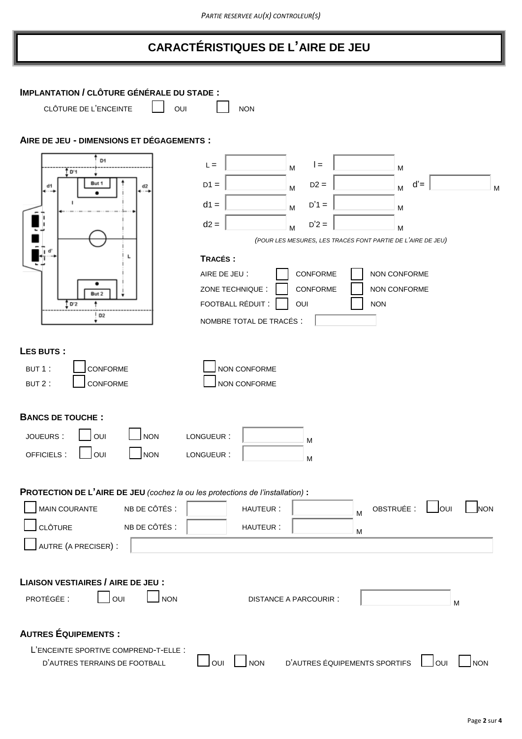# **CARACTÉRISTIQUES DE L'AIRE DE JEU**

| <b>IMPLANTATION / CLÔTURE GÉNÉRALE DU STADE:</b>                               |                                                                                           |
|--------------------------------------------------------------------------------|-------------------------------------------------------------------------------------------|
| CLÔTURE DE L'ENCEINTE                                                          | OUI<br><b>NON</b>                                                                         |
| AIRE DE JEU - DIMENSIONS ET DÉGAGEMENTS :                                      |                                                                                           |
| D1<br>t b'i                                                                    | $L =$<br>$l =$<br>M<br>M                                                                  |
| But 1<br>d1<br>d2                                                              | $d' =$<br>$D1 =$<br>$D2 =$<br>M<br>M<br>M                                                 |
|                                                                                | $D'1 =$<br>$d1 =$<br>M<br>M<br>$d2 =$<br>$D'2 =$                                          |
|                                                                                | M<br>M<br>(POUR LES MESURES, LES TRACÉS FONT PARTIE DE L'AIRE DE JEU)                     |
|                                                                                | TRACÉS:                                                                                   |
| But 2                                                                          | CONFORME<br>NON CONFORME<br>AIRE DE JEU :<br>ZONE TECHNIQUE :<br>CONFORME<br>NON CONFORME |
| $\frac{1}{2}$ D'2<br>D2                                                        | FOOTBALL RÉDUIT :<br>OUI<br><b>NON</b>                                                    |
|                                                                                | NOMBRE TOTAL DE TRACÉS :                                                                  |
| LES BUTS:                                                                      |                                                                                           |
| CONFORME<br>BUT 1:                                                             | NON CONFORME                                                                              |
| CONFORME<br>BUT 2:                                                             | NON CONFORME                                                                              |
| <b>BANCS DE TOUCHE:</b>                                                        |                                                                                           |
| <b>NON</b><br>OUI<br>JOUEURS:                                                  | LONGUEUR:<br>M                                                                            |
| OFFICIELS:<br>OUI<br><b>NON</b>                                                | LONGUEUR:<br>M                                                                            |
| PROTECTION DE L'AIRE DE JEU (cochez la ou les protections de l'installation) : |                                                                                           |
| <b>MAIN COURANTE</b><br>NB DE CÔTÉS :                                          | $\Box$ our<br>OBSTRUÉE :<br>HAUTEUR:<br><b>NON</b><br>M                                   |
| <b>CLÔTURE</b><br>NB DE CÔTÉS :                                                | HAUTEUR:<br>м                                                                             |
| AUTRE (A PRECISER) :                                                           |                                                                                           |
| <b>LIAISON VESTIAIRES / AIRE DE JEU :</b>                                      |                                                                                           |
| OUI<br><b>NON</b><br>PROTÉGÉE :                                                | <b>DISTANCE A PARCOURIR:</b><br>M                                                         |
|                                                                                |                                                                                           |
| <b>AUTRES ÉQUIPEMENTS:</b>                                                     |                                                                                           |
| L'ENCEINTE SPORTIVE COMPREND-T-ELLE :<br>D'AUTRES TERRAINS DE FOOTBALL         | D'AUTRES ÉQUIPEMENTS SPORTIFS<br><b>NON</b><br>NON<br>OUI<br>OUI                          |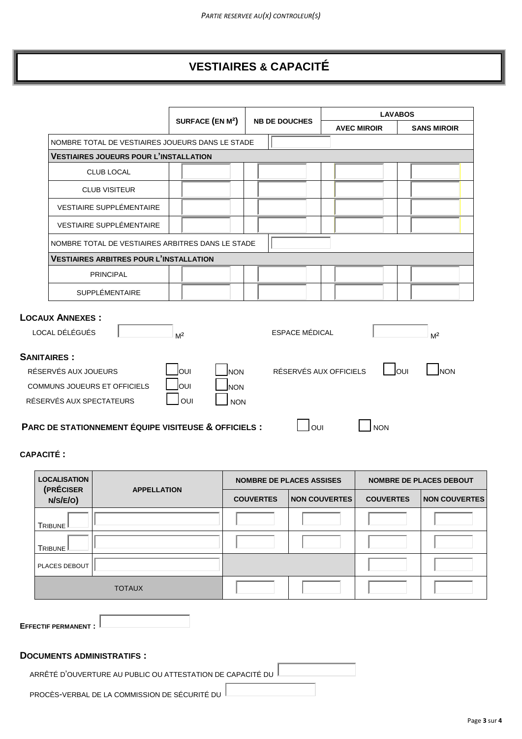## **VESTIAIRES & CAPACITÉ**

|                                                      | SURFACE (EN M <sup>2</sup> ) |                        | <b>LAVABOS</b>     |                     |  |
|------------------------------------------------------|------------------------------|------------------------|--------------------|---------------------|--|
|                                                      |                              | <b>NB DE DOUCHES</b>   | <b>AVEC MIROIR</b> | <b>SANS MIROIR</b>  |  |
| NOMBRE TOTAL DE VESTIAIRES JOUEURS DANS LE STADE     |                              |                        |                    |                     |  |
| <b>VESTIAIRES JOUEURS POUR L'INSTALLATION</b>        |                              |                        |                    |                     |  |
| <b>CLUB LOCAL</b>                                    |                              |                        |                    |                     |  |
| <b>CLUB VISITEUR</b>                                 |                              |                        |                    |                     |  |
| VESTIAIRE SUPPLÉMENTAIRE                             |                              |                        |                    |                     |  |
| <b>VESTIAIRE SUPPLÉMENTAIRE</b>                      |                              |                        |                    |                     |  |
| NOMBRE TOTAL DE VESTIAIRES ARBITRES DANS LE STADE    |                              |                        |                    |                     |  |
| <b>VESTIAIRES ARBITRES POUR L'INSTALLATION</b>       |                              |                        |                    |                     |  |
| <b>PRINCIPAL</b>                                     |                              |                        |                    |                     |  |
| <b>SUPPLÉMENTAIRE</b>                                |                              |                        |                    |                     |  |
| <b>LOCAUX ANNEXES:</b><br>LOCAL DÉLÉGUÉS             | M <sup>2</sup>               | <b>ESPACE MÉDICAL</b>  |                    | M <sup>2</sup>      |  |
| <b>SANITAIRES:</b>                                   |                              |                        |                    |                     |  |
| RÉSERVÉS AUX JOUEURS                                 | loui<br><b>NON</b>           | RÉSERVÉS AUX OFFICIELS |                    | loui<br><b>INON</b> |  |
| <b>COMMUNS JOUEURS ET OFFICIELS</b>                  | loui<br><b>NON</b>           |                        |                    |                     |  |
| RÉSERVÉS AUX SPECTATEURS                             | OUI<br><b>NON</b>            |                        |                    |                     |  |
| PARC DE STATIONNEMENT ÉQUIPE VISITEUSE & OFFICIELS : |                              | OUI                    | <b>NON</b>         |                     |  |

#### **CAPACITÉ :**

| <b>LOCALISATION</b><br>(PRÉCISER | <b>APPELLATION</b> |                  | <b>NOMBRE DE PLACES ASSISES</b> | <b>NOMBRE DE PLACES DEBOUT</b> |                      |  |
|----------------------------------|--------------------|------------------|---------------------------------|--------------------------------|----------------------|--|
| N/S/E/O)                         |                    | <b>COUVERTES</b> | <b>NON COUVERTES</b>            | <b>COUVERTES</b>               | <b>NON COUVERTES</b> |  |
| TRIBUNE                          |                    |                  |                                 |                                |                      |  |
| TRIBUNE <sup></sup>              |                    |                  |                                 |                                |                      |  |
| PLACES DEBOUT                    |                    |                  |                                 |                                |                      |  |
|                                  | <b>TOTAUX</b>      |                  |                                 |                                |                      |  |

**EFFECTIF PERMANENT :**

### **DOCUMENTS ADMINISTRATIFS :**

ARRÊTÉ D'OUVERTURE AU PUBLIC OU ATTESTATION DE CAPACITÉ DU

PROCÈS-VERBAL DE LA COMMISSION DE SÉCURITÉ DU